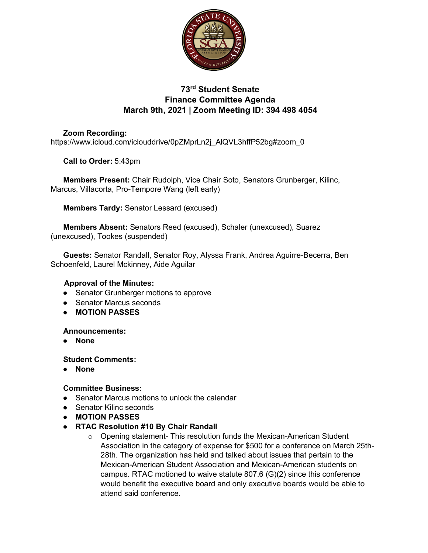

# **73rd Student Senate Finance Committee Agenda March 9th, 2021 | Zoom Meeting ID: 394 498 4054**

### **Zoom Recording:**  https://www.icloud.com/iclouddrive/0pZMprLn2j\_AlQVL3hffP52bg#zoom\_0

**Call to Order:** 5:43pm

**Members Present:** Chair Rudolph, Vice Chair Soto, Senators Grunberger, Kilinc, Marcus, Villacorta, Pro-Tempore Wang (left early)

**Members Tardy:** Senator Lessard (excused)

**Members Absent:** Senators Reed (excused), Schaler (unexcused), Suarez (unexcused), Tookes (suspended)

**Guests:** Senator Randall, Senator Roy, Alyssa Frank, Andrea Aguirre-Becerra, Ben Schoenfeld, Laurel Mckinney, Aide Aguilar

### **Approval of the Minutes:**

- Senator Grunberger motions to approve
- Senator Marcus seconds
- **MOTION PASSES**

#### **Announcements:**

● **None**

#### **Student Comments:**

● **None**

#### **Committee Business:**

- Senator Marcus motions to unlock the calendar
- Senator Kilinc seconds
- **MOTION PASSES**
- **RTAC Resolution #10 By Chair Randall**
	- o Opening statement- This resolution funds the Mexican-American Student Association in the category of expense for \$500 for a conference on March 25th-28th. The organization has held and talked about issues that pertain to the Mexican-American Student Association and Mexican-American students on campus. RTAC motioned to waive statute 807.6 (G)(2) since this conference would benefit the executive board and only executive boards would be able to attend said conference.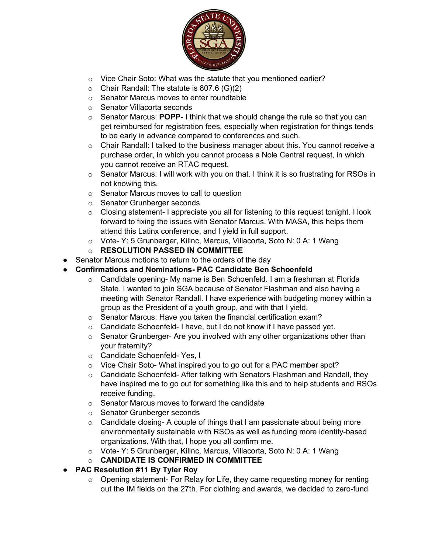

- o Vice Chair Soto: What was the statute that you mentioned earlier?
- $\circ$  Chair Randall: The statute is 807.6 (G)(2)
- o Senator Marcus moves to enter roundtable
- o Senator Villacorta seconds
- o Senator Marcus: **POPP** I think that we should change the rule so that you can get reimbursed for registration fees, especially when registration for things tends to be early in advance compared to conferences and such.
- $\circ$  Chair Randall: I talked to the business manager about this. You cannot receive a purchase order, in which you cannot process a Nole Central request, in which you cannot receive an RTAC request.
- $\circ$  Senator Marcus: I will work with you on that. I think it is so frustrating for RSOs in not knowing this.
- o Senator Marcus moves to call to question
- o Senator Grunberger seconds
- $\circ$  Closing statement- I appreciate you all for listening to this request tonight. I look forward to fixing the issues with Senator Marcus. With MASA, this helps them attend this Latinx conference, and I yield in full support.
- o Vote- Y: 5 Grunberger, Kilinc, Marcus, Villacorta, Soto N: 0 A: 1 Wang
- o **RESOLUTION PASSED IN COMMITTEE**
- Senator Marcus motions to return to the orders of the day
- **Confirmations and Nominations- PAC Candidate Ben Schoenfeld**
	- $\circ$  Candidate opening- My name is Ben Schoenfeld. I am a freshman at Florida State. I wanted to join SGA because of Senator Flashman and also having a meeting with Senator Randall. I have experience with budgeting money within a group as the President of a youth group, and with that I yield.
	- o Senator Marcus: Have you taken the financial certification exam?
	- o Candidate Schoenfeld- I have, but I do not know if I have passed yet.
	- o Senator Grunberger- Are you involved with any other organizations other than your fraternity?
	- o Candidate Schoenfeld- Yes, I
	- o Vice Chair Soto- What inspired you to go out for a PAC member spot?
	- $\circ$  Candidate Schoenfeld- After talking with Senators Flashman and Randall, they have inspired me to go out for something like this and to help students and RSOs receive funding.
	- o Senator Marcus moves to forward the candidate
	- o Senator Grunberger seconds
	- o Candidate closing- A couple of things that I am passionate about being more environmentally sustainable with RSOs as well as funding more identity-based organizations. With that, I hope you all confirm me.
	- o Vote- Y: 5 Grunberger, Kilinc, Marcus, Villacorta, Soto N: 0 A: 1 Wang
	- o **CANDIDATE IS CONFIRMED IN COMMITTEE**
- **PAC Resolution #11 By Tyler Roy**
	- o Opening statement- For Relay for Life, they came requesting money for renting out the IM fields on the 27th. For clothing and awards, we decided to zero-fund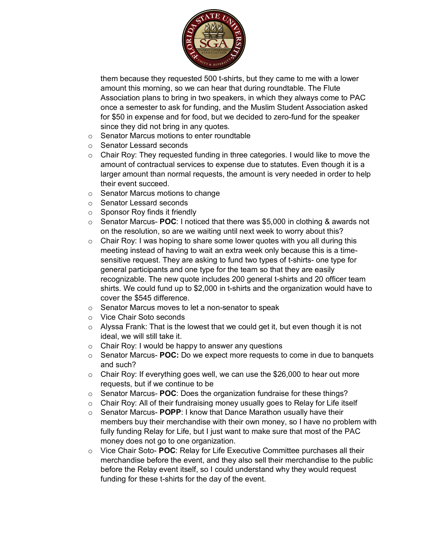

them because they requested 500 t-shirts, but they came to me with a lower amount this morning, so we can hear that during roundtable. The Flute Association plans to bring in two speakers, in which they always come to PAC once a semester to ask for funding, and the Muslim Student Association asked for \$50 in expense and for food, but we decided to zero-fund for the speaker since they did not bring in any quotes.

- o Senator Marcus motions to enter roundtable
- o Senator Lessard seconds
- $\circ$  Chair Roy: They requested funding in three categories. I would like to move the amount of contractual services to expense due to statutes. Even though it is a larger amount than normal requests, the amount is very needed in order to help their event succeed.
- o Senator Marcus motions to change
- o Senator Lessard seconds
- o Sponsor Roy finds it friendly
- o Senator Marcus- **POC**: I noticed that there was \$5,000 in clothing & awards not on the resolution, so are we waiting until next week to worry about this?
- $\circ$  Chair Roy: I was hoping to share some lower quotes with you all during this meeting instead of having to wait an extra week only because this is a timesensitive request. They are asking to fund two types of t-shirts- one type for general participants and one type for the team so that they are easily recognizable. The new quote includes 200 general t-shirts and 20 officer team shirts. We could fund up to \$2,000 in t-shirts and the organization would have to cover the \$545 difference.
- o Senator Marcus moves to let a non-senator to speak
- o Vice Chair Soto seconds
- $\circ$  Alyssa Frank: That is the lowest that we could get it, but even though it is not ideal, we will still take it.
- o Chair Roy: I would be happy to answer any questions
- o Senator Marcus- **POC:** Do we expect more requests to come in due to banquets and such?
- $\circ$  Chair Roy: If everything goes well, we can use the \$26,000 to hear out more requests, but if we continue to be
- o Senator Marcus- **POC**: Does the organization fundraise for these things?
- o Chair Roy: All of their fundraising money usually goes to Relay for Life itself
- o Senator Marcus- **POPP**: I know that Dance Marathon usually have their members buy their merchandise with their own money, so I have no problem with fully funding Relay for Life, but I just want to make sure that most of the PAC money does not go to one organization.
- o Vice Chair Soto- **POC**: Relay for Life Executive Committee purchases all their merchandise before the event, and they also sell their merchandise to the public before the Relay event itself, so I could understand why they would request funding for these t-shirts for the day of the event.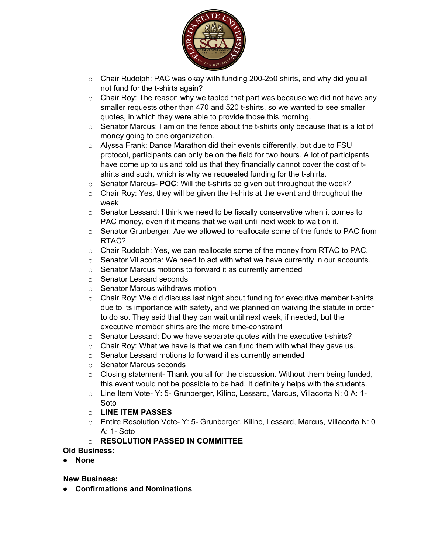

- $\circ$  Chair Rudolph: PAC was okay with funding 200-250 shirts, and why did you all not fund for the t-shirts again?
- $\circ$  Chair Roy: The reason why we tabled that part was because we did not have any smaller requests other than 470 and 520 t-shirts, so we wanted to see smaller quotes, in which they were able to provide those this morning.
- o Senator Marcus: I am on the fence about the t-shirts only because that is a lot of money going to one organization.
- o Alyssa Frank: Dance Marathon did their events differently, but due to FSU protocol, participants can only be on the field for two hours. A lot of participants have come up to us and told us that they financially cannot cover the cost of tshirts and such, which is why we requested funding for the t-shirts.
- o Senator Marcus- **POC**: Will the t-shirts be given out throughout the week?
- $\circ$  Chair Roy: Yes, they will be given the t-shirts at the event and throughout the week
- $\circ$  Senator Lessard: I think we need to be fiscally conservative when it comes to PAC money, even if it means that we wait until next week to wait on it.
- $\circ$  Senator Grunberger: Are we allowed to reallocate some of the funds to PAC from RTAC?
- $\circ$  Chair Rudolph: Yes, we can reallocate some of the money from RTAC to PAC.
- $\circ$  Senator Villacorta: We need to act with what we have currently in our accounts.
- o Senator Marcus motions to forward it as currently amended
- o Senator Lessard seconds
- o Senator Marcus withdraws motion
- $\circ$  Chair Roy: We did discuss last night about funding for executive member t-shirts due to its importance with safety, and we planned on waiving the statute in order to do so. They said that they can wait until next week, if needed, but the executive member shirts are the more time-constraint
- $\circ$  Senator Lessard: Do we have separate quotes with the executive t-shirts?
- $\circ$  Chair Roy: What we have is that we can fund them with what they gave us.
- o Senator Lessard motions to forward it as currently amended
- o Senator Marcus seconds
- $\circ$  Closing statement-Thank you all for the discussion. Without them being funded, this event would not be possible to be had. It definitely helps with the students.
- o Line Item Vote- Y: 5- Grunberger, Kilinc, Lessard, Marcus, Villacorta N: 0 A: 1- Soto
- o **LINE ITEM PASSES**
- o Entire Resolution Vote- Y: 5- Grunberger, Kilinc, Lessard, Marcus, Villacorta N: 0 A: 1- Soto
- o **RESOLUTION PASSED IN COMMITTEE**

**Old Business:**

● **None**

**New Business:** 

● **Confirmations and Nominations**